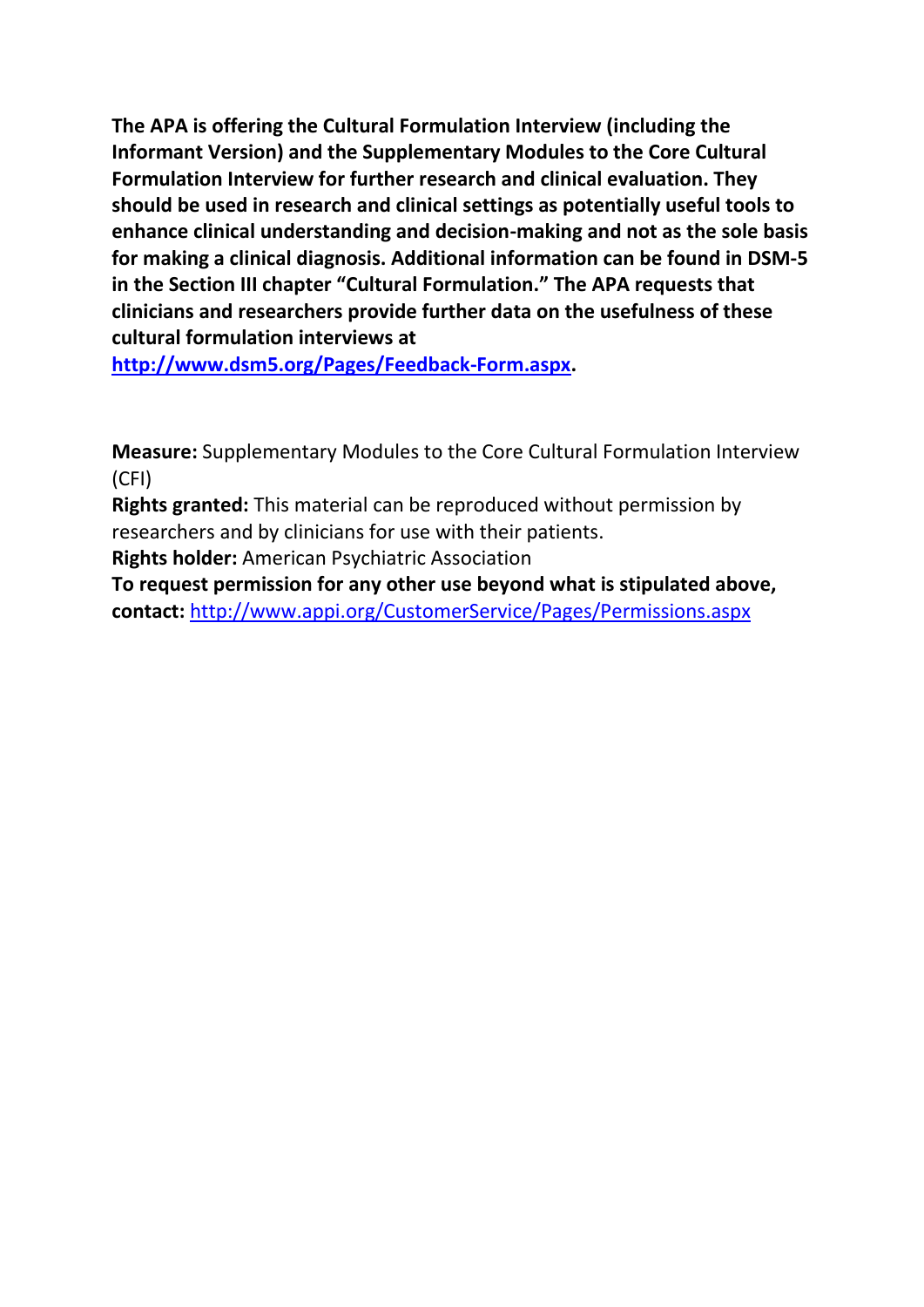**The APA is offering the Cultural Formulation Interview (including the Informant Version) and the Supplementary Modules to the Core Cultural Formulation Interview for further research and clinical evaluation. They should be used in research and clinical settings as potentially useful tools to enhance clinical understanding and decision-making and not as the sole basis for making a clinical diagnosis. Additional information can be found in DSM-5 in the Section III chapter "Cultural Formulation." The APA requests that clinicians and researchers provide further data on the usefulness of these cultural formulation interviews at**

**[http://www.dsm5.org/Pages/Feedback-Form.aspx.](http://www.dsm5.org/Pages/Feedback-Form.aspx)**

**Measure:** Supplementary Modules to the Core Cultural Formulation Interview (CFI)

**Rights granted:** This material can be reproduced without permission by researchers and by clinicians for use with their patients.

**Rights holder:** American Psychiatric Association

**To request permission for any other use beyond what is stipulated above, contact:** <http://www.appi.org/CustomerService/Pages/Permissions.aspx>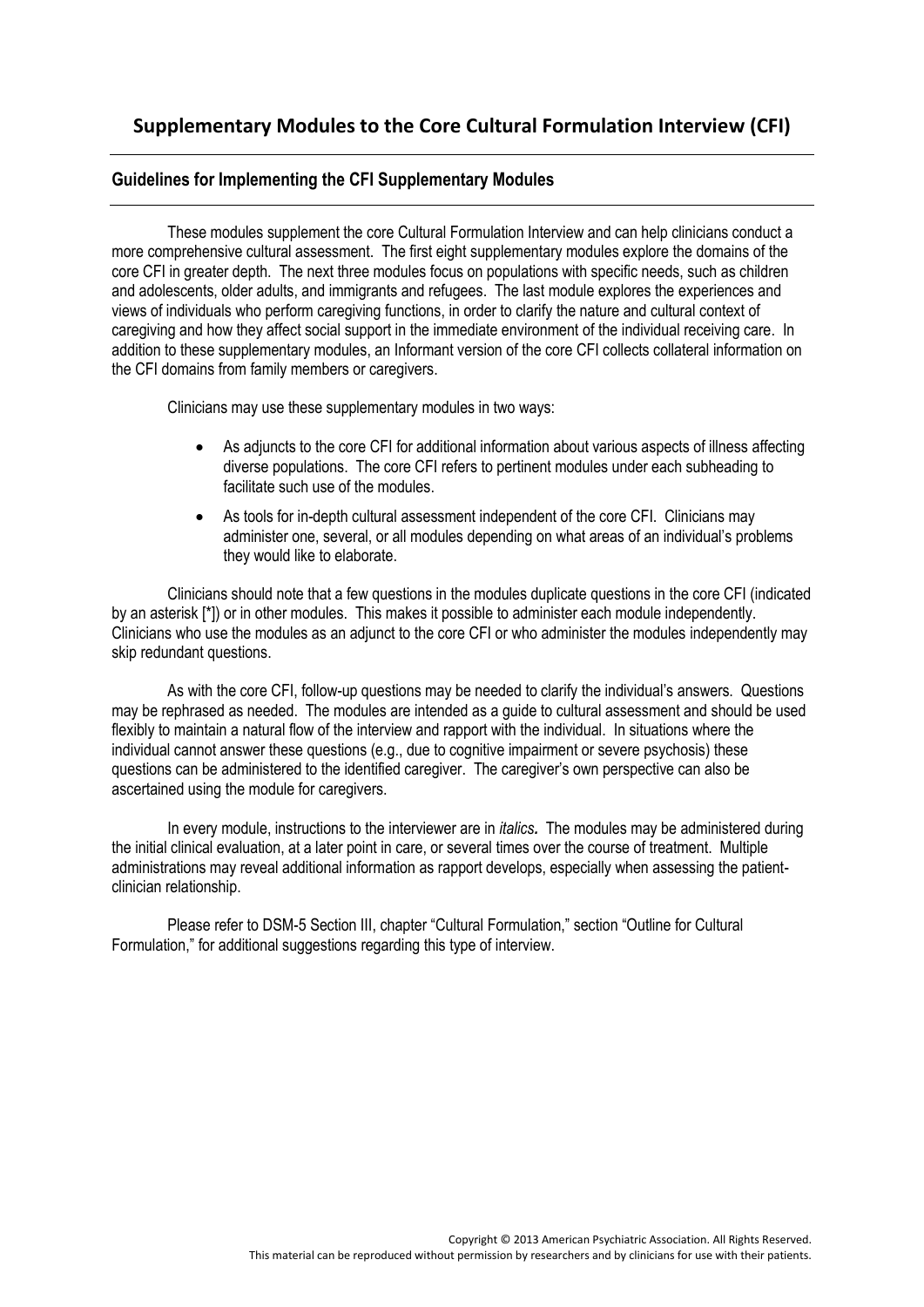# **Supplementary Modules to the Core Cultural Formulation Interview (CFI)**

## **Guidelines for Implementing the CFI Supplementary Modules**

These modules supplement the core Cultural Formulation Interview and can help clinicians conduct a more comprehensive cultural assessment. The first eight supplementary modules explore the domains of the core CFI in greater depth. The next three modules focus on populations with specific needs, such as children and adolescents, older adults, and immigrants and refugees. The last module explores the experiences and views of individuals who perform caregiving functions, in order to clarify the nature and cultural context of caregiving and how they affect social support in the immediate environment of the individual receiving care. In addition to these supplementary modules, an Informant version of the core CFI collects collateral information on the CFI domains from family members or caregivers.

Clinicians may use these supplementary modules in two ways:

- As adjuncts to the core CFI for additional information about various aspects of illness affecting diverse populations. The core CFI refers to pertinent modules under each subheading to facilitate such use of the modules.
- As tools for in-depth cultural assessment independent of the core CFI. Clinicians may administer one, several, or all modules depending on what areas of an individual's problems they would like to elaborate.

Clinicians should note that a few questions in the modules duplicate questions in the core CFI (indicated by an asterisk [\*]) or in other modules. This makes it possible to administer each module independently. Clinicians who use the modules as an adjunct to the core CFI or who administer the modules independently may skip redundant questions.

As with the core CFI, follow-up questions may be needed to clarify the individual's answers. Questions may be rephrased as needed. The modules are intended as a guide to cultural assessment and should be used flexibly to maintain a natural flow of the interview and rapport with the individual. In situations where the individual cannot answer these questions (e.g., due to cognitive impairment or severe psychosis) these questions can be administered to the identified caregiver. The caregiver's own perspective can also be ascertained using the module for caregivers.

In every module, instructions to the interviewer are in *italics.* The modules may be administered during the initial clinical evaluation, at a later point in care, or several times over the course of treatment. Multiple administrations may reveal additional information as rapport develops, especially when assessing the patientclinician relationship.

Please refer to DSM-5 Section III, chapter "Cultural Formulation," section "Outline for Cultural Formulation," for additional suggestions regarding this type of interview.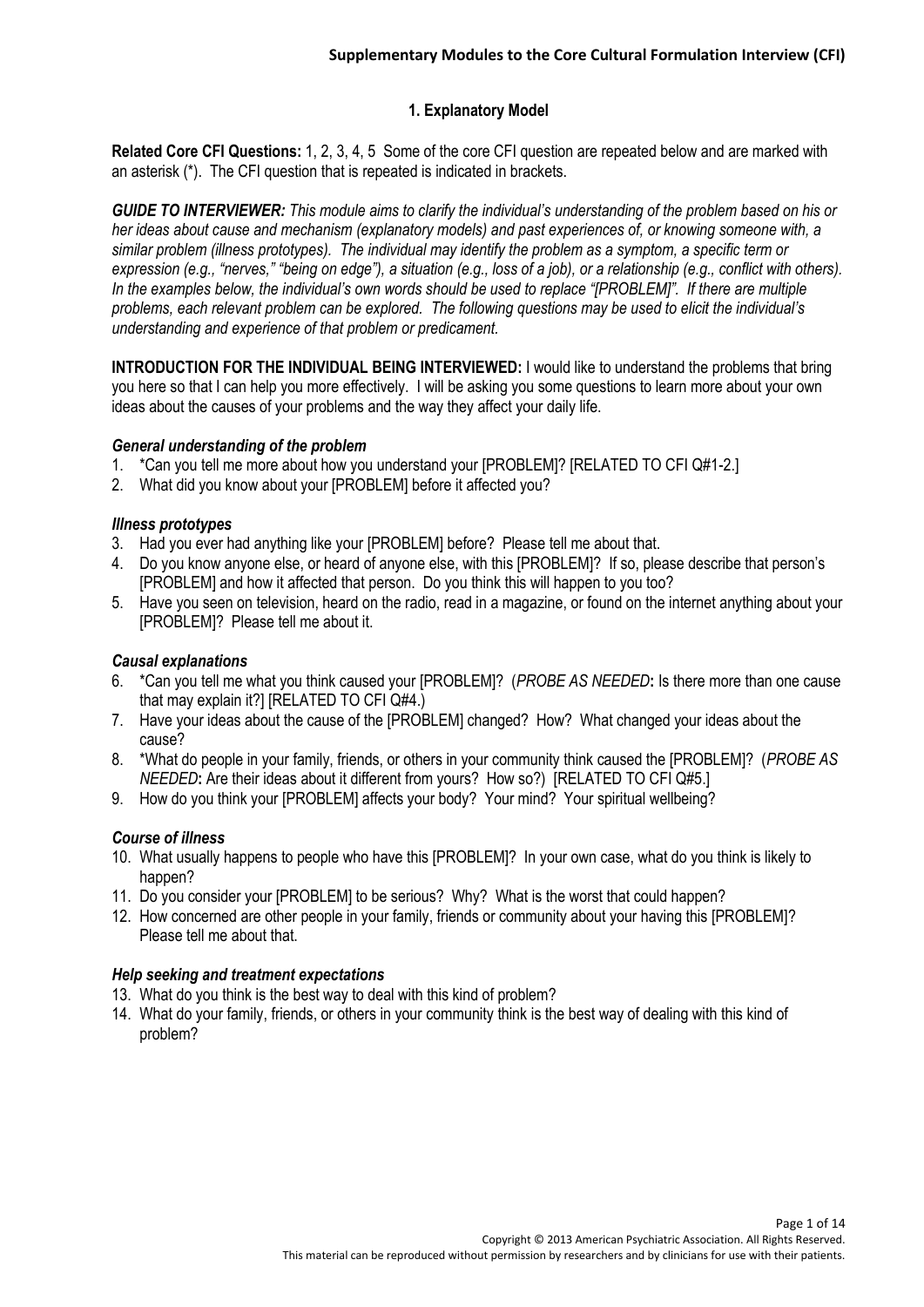# **1. Explanatory Model**

**Related Core CFI Questions:** 1, 2, 3, 4, 5 Some of the core CFI question are repeated below and are marked with an asterisk (\*). The CFI question that is repeated is indicated in brackets.

*GUIDE TO INTERVIEWER: This module aims to clarify the individual's understanding of the problem based on his or her ideas about cause and mechanism (explanatory models) and past experiences of, or knowing someone with, a similar problem (illness prototypes). The individual may identify the problem as a symptom, a specific term or expression (e.g., "nerves," "being on edge"), a situation (e.g., loss of a job), or a relationship (e.g., conflict with others). In the examples below, the individual's own words should be used to replace "[PROBLEM]". If there are multiple problems, each relevant problem can be explored. The following questions may be used to elicit the individual's understanding and experience of that problem or predicament.* 

**INTRODUCTION FOR THE INDIVIDUAL BEING INTERVIEWED:** I would like to understand the problems that bring you here so that I can help you more effectively. I will be asking you some questions to learn more about your own ideas about the causes of your problems and the way they affect your daily life.

## *General understanding of the problem*

- 1. \*Can you tell me more about how you understand your [PROBLEM]? [RELATED TO CFI Q#1-2.]
- 2. What did you know about your [PROBLEM] before it affected you?

### *Illness prototypes*

- 3. Had you ever had anything like your [PROBLEM] before? Please tell me about that.
- 4. Do you know anyone else, or heard of anyone else, with this [PROBLEM]? If so, please describe that person's [PROBLEM] and how it affected that person. Do you think this will happen to you too?
- 5. Have you seen on television, heard on the radio, read in a magazine, or found on the internet anything about your [PROBLEM]? Please tell me about it.

### *Causal explanations*

- 6. \*Can you tell me what you think caused your [PROBLEM]? (*PROBE AS NEEDED***:** Is there more than one cause that may explain it?] [RELATED TO CFI Q#4.)
- 7. Have your ideas about the cause of the [PROBLEM] changed? How? What changed your ideas about the cause?
- 8. \*What do people in your family, friends, or others in your community think caused the [PROBLEM]? (*PROBE AS NEEDED*: Are their ideas about it different from yours? How so?) [RELATED TO CFI Q#5.]
- 9. How do you think your [PROBLEM] affects your body? Your mind? Your spiritual wellbeing?

## *Course of illness*

- 10. What usually happens to people who have this [PROBLEM]? In your own case, what do you think is likely to happen?
- 11. Do you consider your [PROBLEM] to be serious? Why? What is the worst that could happen?
- 12. How concerned are other people in your family, friends or community about your having this [PROBLEM]? Please tell me about that.

### *Help seeking and treatment expectations*

- 13. What do you think is the best way to deal with this kind of problem?
- 14. What do your family, friends, or others in your community think is the best way of dealing with this kind of problem?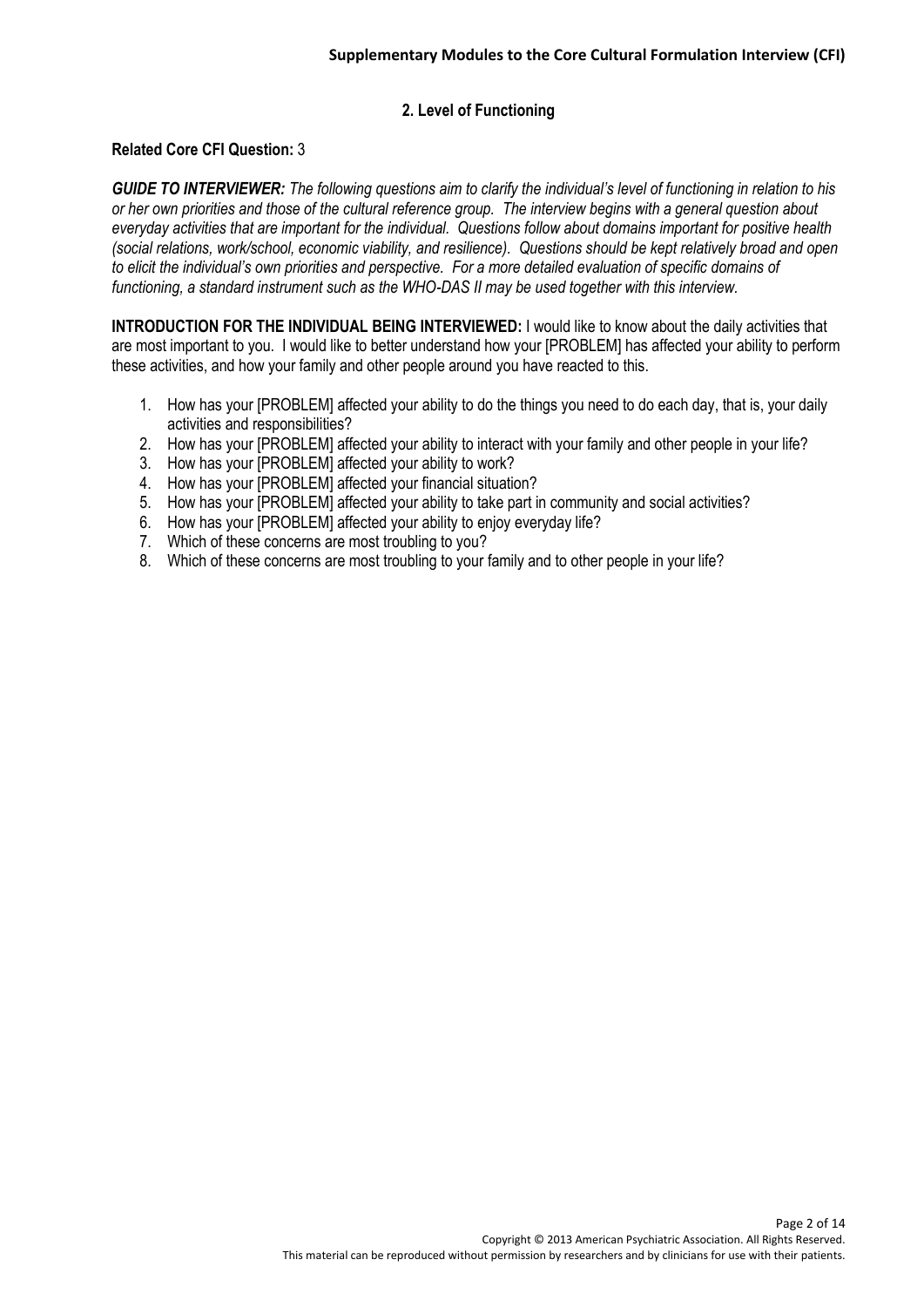# **2. Level of Functioning**

## **Related Core CFI Question:** 3

*GUIDE TO INTERVIEWER: The following questions aim to clarify the individual's level of functioning in relation to his or her own priorities and those of the cultural reference group. The interview begins with a general question about everyday activities that are important for the individual. Questions follow about domains important for positive health (social relations, work/school, economic viability, and resilience). Questions should be kept relatively broad and open to elicit the individual's own priorities and perspective. For a more detailed evaluation of specific domains of functioning, a standard instrument such as the WHO-DAS II may be used together with this interview.* 

**INTRODUCTION FOR THE INDIVIDUAL BEING INTERVIEWED:** I would like to know about the daily activities that are most important to you. I would like to better understand how your [PROBLEM] has affected your ability to perform these activities, and how your family and other people around you have reacted to this.

- 1. How has your [PROBLEM] affected your ability to do the things you need to do each day, that is, your daily activities and responsibilities?
- 2. How has your [PROBLEM] affected your ability to interact with your family and other people in your life?
- 3. How has your [PROBLEM] affected your ability to work?
- 4. How has your [PROBLEM] affected your financial situation?
- 5. How has your [PROBLEM] affected your ability to take part in community and social activities?
- 6. How has your [PROBLEM] affected your ability to enjoy everyday life?
- 7. Which of these concerns are most troubling to you?
- 8. Which of these concerns are most troubling to your family and to other people in your life?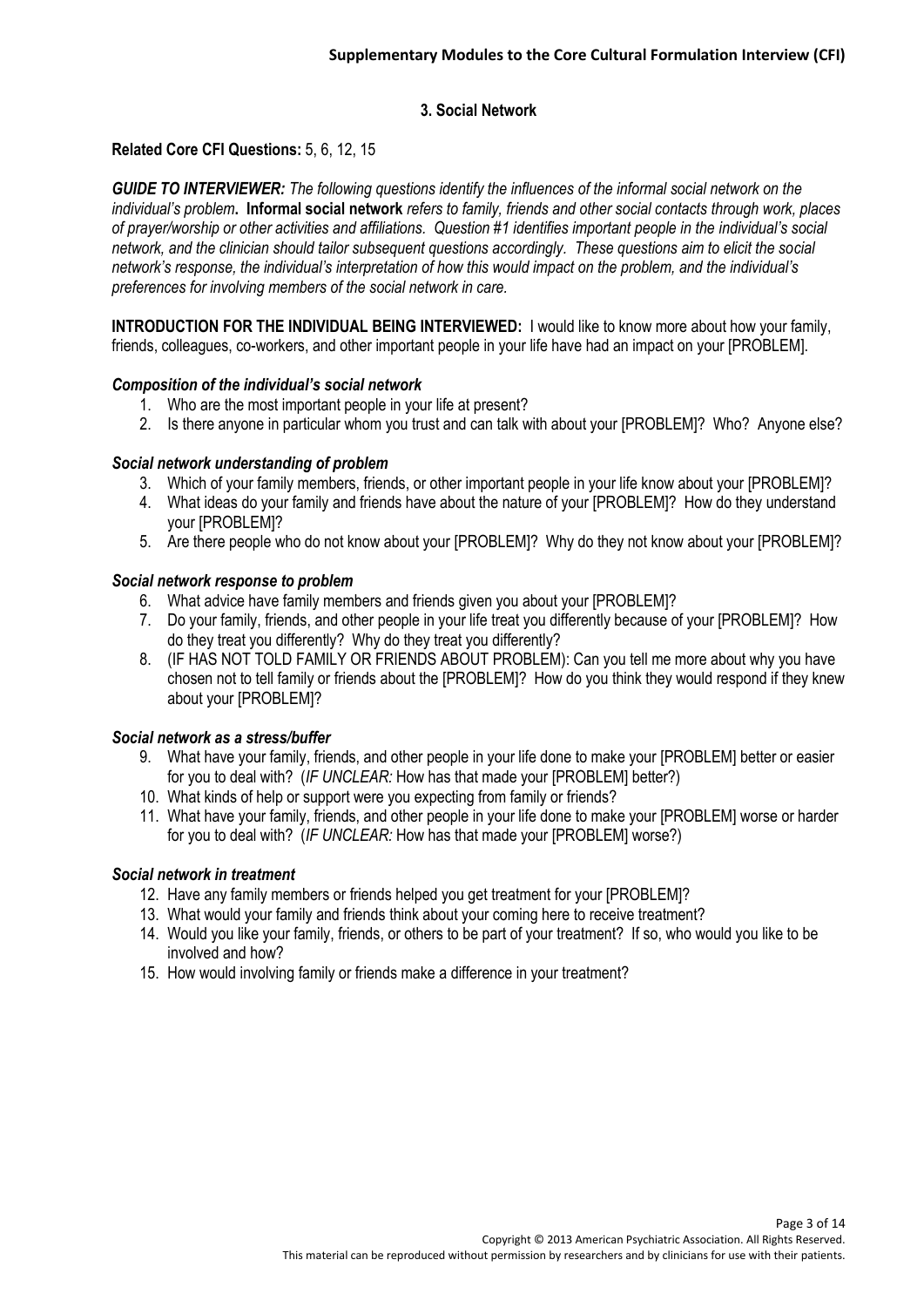# **3. Social Network**

# **Related Core CFI Questions:** 5, 6, 12, 15

*GUIDE TO INTERVIEWER: The following questions identify the influences of the informal social network on the individual's problem***. Informal social network** *refers to family, friends and other social contacts through work, places of prayer/worship or other activities and affiliations. Question #1 identifies important people in the individual's social network, and the clinician should tailor subsequent questions accordingly. These questions aim to elicit the social network's response, the individual's interpretation of how this would impact on the problem, and the individual's preferences for involving members of the social network in care.*

**INTRODUCTION FOR THE INDIVIDUAL BEING INTERVIEWED:** I would like to know more about how your family, friends, colleagues, co-workers, and other important people in your life have had an impact on your [PROBLEM].

## *Composition of the individual's social network*

- 1. Who are the most important people in your life at present?
- 2. Is there anyone in particular whom you trust and can talk with about your [PROBLEM]? Who? Anyone else?

## *Social network understanding of problem*

- 3. Which of your family members, friends, or other important people in your life know about your [PROBLEM]?
- 4. What ideas do your family and friends have about the nature of your [PROBLEM]? How do they understand your [PROBLEM]?
- 5. Are there people who do not know about your [PROBLEM]? Why do they not know about your [PROBLEM]?

## *Social network response to problem*

- 6. What advice have family members and friends given you about your [PROBLEM]?
- 7. Do your family, friends, and other people in your life treat you differently because of your [PROBLEM]? How do they treat you differently? Why do they treat you differently?
- 8. (IF HAS NOT TOLD FAMILY OR FRIENDS ABOUT PROBLEM): Can you tell me more about why you have chosen not to tell family or friends about the [PROBLEM]? How do you think they would respond if they knew about your [PROBLEM]?

### *Social network as a stress/buffer*

- 9. What have your family, friends, and other people in your life done to make your [PROBLEM] better or easier for you to deal with? (*IF UNCLEAR:* How has that made your [PROBLEM] better?)
- 10. What kinds of help or support were you expecting from family or friends?
- 11. What have your family, friends, and other people in your life done to make your [PROBLEM] worse or harder for you to deal with? (*IF UNCLEAR:* How has that made your [PROBLEM] worse?)

### *Social network in treatment*

- 12. Have any family members or friends helped you get treatment for your [PROBLEM]?
- 13. What would your family and friends think about your coming here to receive treatment?
- 14. Would you like your family, friends, or others to be part of your treatment? If so, who would you like to be involved and how?
- 15. How would involving family or friends make a difference in your treatment?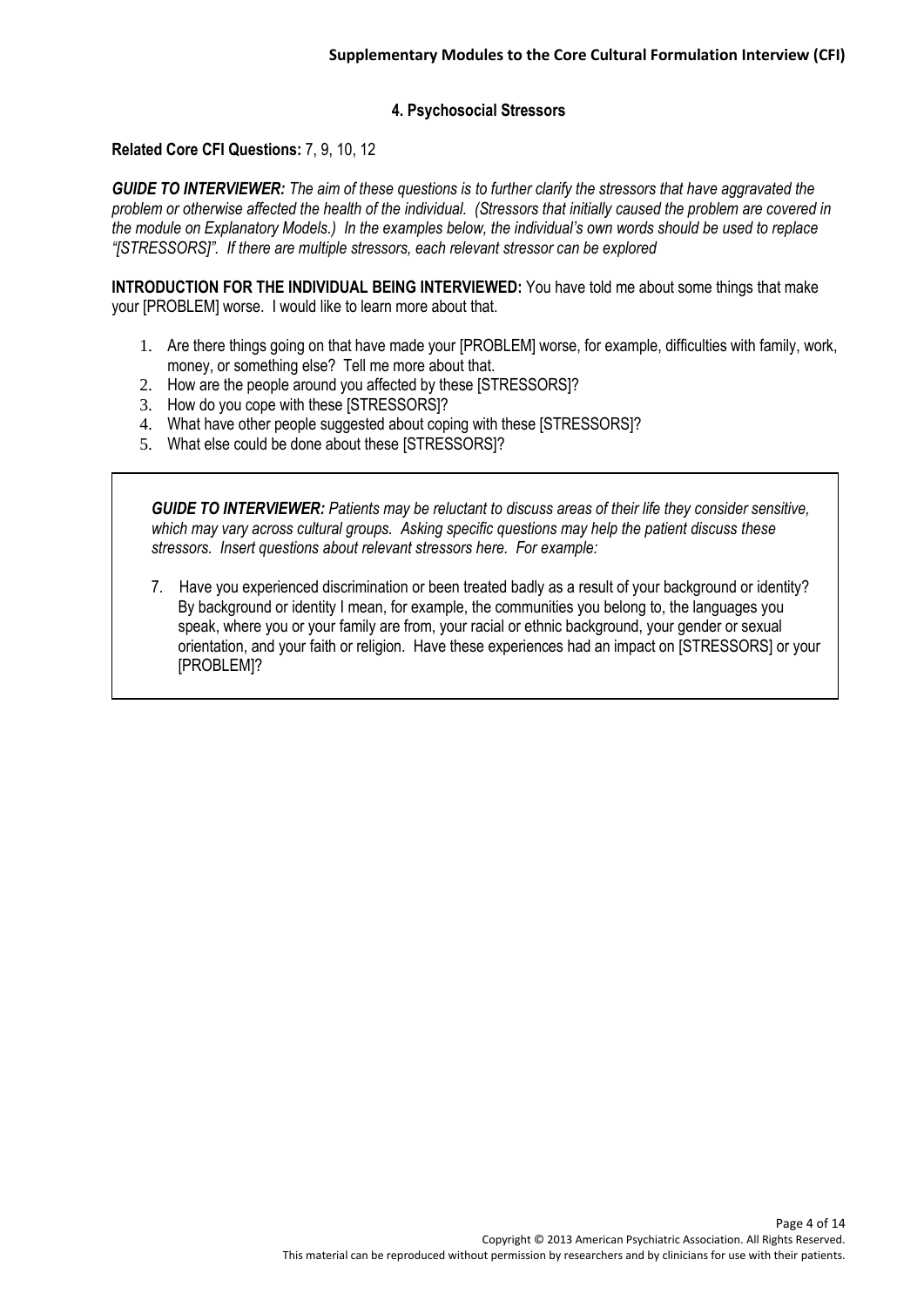## **4. Psychosocial Stressors**

## **Related Core CFI Questions:** 7, 9, 10, 12

*GUIDE TO INTERVIEWER: The aim of these questions is to further clarify the stressors that have aggravated the problem or otherwise affected the health of the individual. (Stressors that initially caused the problem are covered in the module on Explanatory Models.) In the examples below, the individual's own words should be used to replace "[STRESSORS]". If there are multiple stressors, each relevant stressor can be explored*

**INTRODUCTION FOR THE INDIVIDUAL BEING INTERVIEWED:** You have told me about some things that make your [PROBLEM] worse. I would like to learn more about that.

- 1. Are there things going on that have made your [PROBLEM] worse, for example, difficulties with family, work, money, or something else? Tell me more about that.
- 2. How are the people around you affected by these [STRESSORS]?
- 3. How do you cope with these [STRESSORS]?
- 4. What have other people suggested about coping with these [STRESSORS]?
- 5. What else could be done about these [STRESSORS]?

*GUIDE TO INTERVIEWER: Patients may be reluctant to discuss areas of their life they consider sensitive, which may vary across cultural groups. Asking specific questions may help the patient discuss these stressors. Insert questions about relevant stressors here. For example:*

7. Have you experienced discrimination or been treated badly as a result of your background or identity? By background or identity I mean, for example, the communities you belong to, the languages you speak, where you or your family are from, your racial or ethnic background, your gender or sexual orientation, and your faith or religion. Have these experiences had an impact on [STRESSORS] or your [PROBLEM]?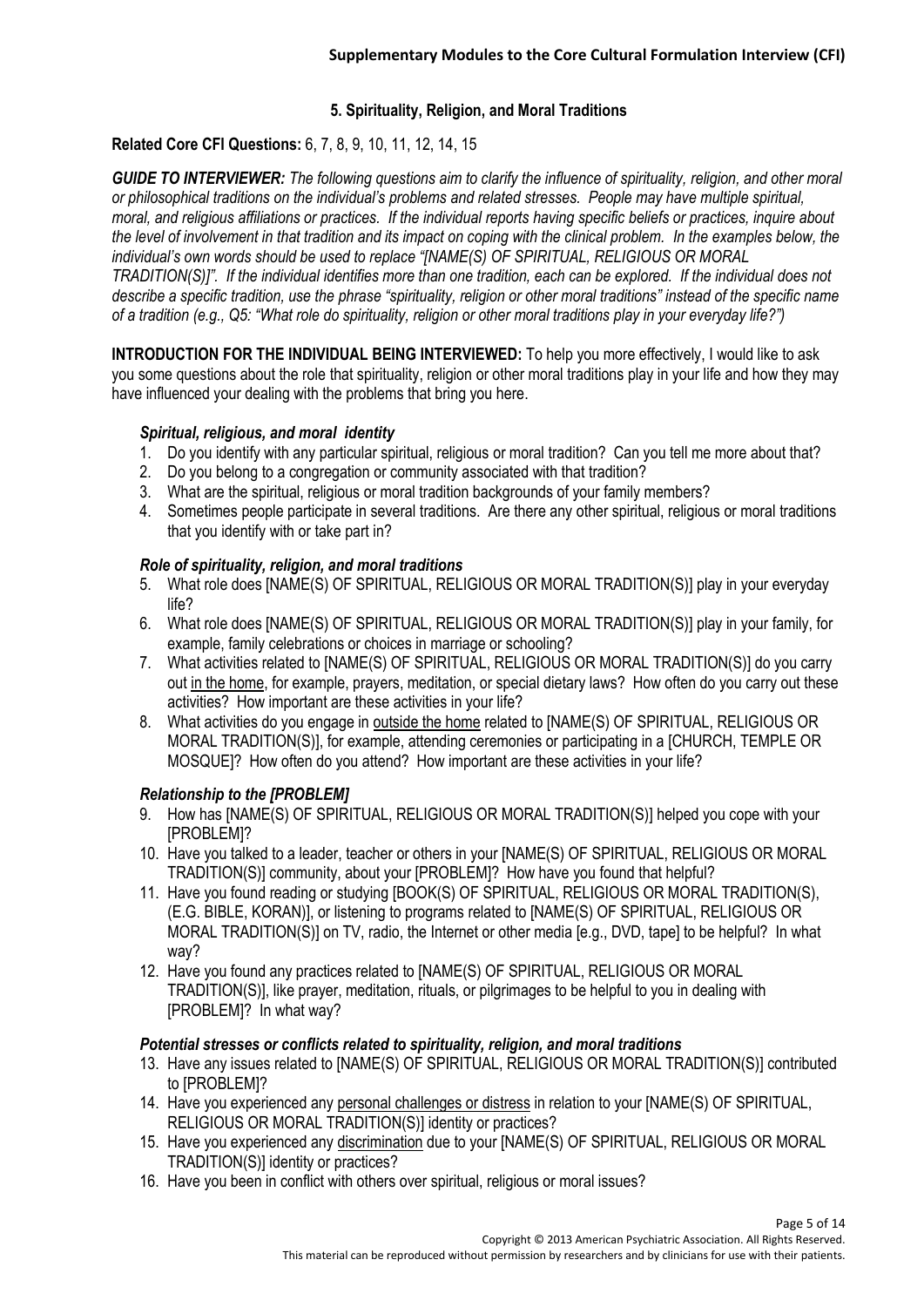# **5. Spirituality, Religion, and Moral Traditions**

# **Related Core CFI Questions:** 6, 7, 8, 9, 10, 11, 12, 14, 15

*GUIDE TO INTERVIEWER: The following questions aim to clarify the influence of spirituality, religion, and other moral or philosophical traditions on the individual's problems and related stresses. People may have multiple spiritual, moral, and religious affiliations or practices. If the individual reports having specific beliefs or practices, inquire about the level of involvement in that tradition and its impact on coping with the clinical problem. In the examples below, the individual's own words should be used to replace "[NAME(S) OF SPIRITUAL, RELIGIOUS OR MORAL TRADITION(S)]". If the individual identifies more than one tradition, each can be explored. If the individual does not describe a specific tradition, use the phrase "spirituality, religion or other moral traditions" instead of the specific name of a tradition (e.g., Q5: "What role do spirituality, religion or other moral traditions play in your everyday life?")*

**INTRODUCTION FOR THE INDIVIDUAL BEING INTERVIEWED:** To help you more effectively, I would like to ask you some questions about the role that spirituality, religion or other moral traditions play in your life and how they may have influenced your dealing with the problems that bring you here.

## *Spiritual, religious, and moral identity*

- 1. Do you identify with any particular spiritual, religious or moral tradition? Can you tell me more about that?
- 2. Do you belong to a congregation or community associated with that tradition?
- 3. What are the spiritual, religious or moral tradition backgrounds of your family members?
- 4. Sometimes people participate in several traditions. Are there any other spiritual, religious or moral traditions that you identify with or take part in?

## *Role of spirituality, religion, and moral traditions*

- 5. What role does [NAME(S) OF SPIRITUAL, RELIGIOUS OR MORAL TRADITION(S)] play in your everyday life?
- 6. What role does [NAME(S) OF SPIRITUAL, RELIGIOUS OR MORAL TRADITION(S)] play in your family, for example, family celebrations or choices in marriage or schooling?
- 7. What activities related to [NAME(S) OF SPIRITUAL, RELIGIOUS OR MORAL TRADITION(S)] do you carry out in the home, for example, prayers, meditation, or special dietary laws? How often do you carry out these activities? How important are these activities in your life?
- 8. What activities do you engage in outside the home related to [NAME(S) OF SPIRITUAL, RELIGIOUS OR MORAL TRADITION(S)], for example, attending ceremonies or participating in a [CHURCH, TEMPLE OR MOSQUE]? How often do you attend? How important are these activities in your life?

## *Relationship to the [PROBLEM]*

- 9. How has [NAME(S) OF SPIRITUAL, RELIGIOUS OR MORAL TRADITION(S)] helped you cope with your [PROBLEM]?
- 10. Have you talked to a leader, teacher or others in your [NAME(S) OF SPIRITUAL, RELIGIOUS OR MORAL TRADITION(S)] community, about your [PROBLEM]? How have you found that helpful?
- 11. Have you found reading or studying [BOOK(S) OF SPIRITUAL, RELIGIOUS OR MORAL TRADITION(S), (E.G. BIBLE, KORAN)], or listening to programs related to [NAME(S) OF SPIRITUAL, RELIGIOUS OR MORAL TRADITION(S)] on TV, radio, the Internet or other media [e.g., DVD, tape] to be helpful? In what way?
- 12. Have you found any practices related to [NAME(S) OF SPIRITUAL, RELIGIOUS OR MORAL TRADITION(S)], like prayer, meditation, rituals, or pilgrimages to be helpful to you in dealing with [PROBLEM]? In what way?

### *Potential stresses or conflicts related to spirituality, religion, and moral traditions*

- 13. Have any issues related to [NAME(S) OF SPIRITUAL, RELIGIOUS OR MORAL TRADITION(S)] contributed to [PROBLEM]?
- 14. Have you experienced any personal challenges or distress in relation to your [NAME(S) OF SPIRITUAL, RELIGIOUS OR MORAL TRADITION(S)] identity or practices?
- 15. Have you experienced any discrimination due to your [NAME(S) OF SPIRITUAL, RELIGIOUS OR MORAL TRADITION(S)] identity or practices?
- 16. Have you been in conflict with others over spiritual, religious or moral issues?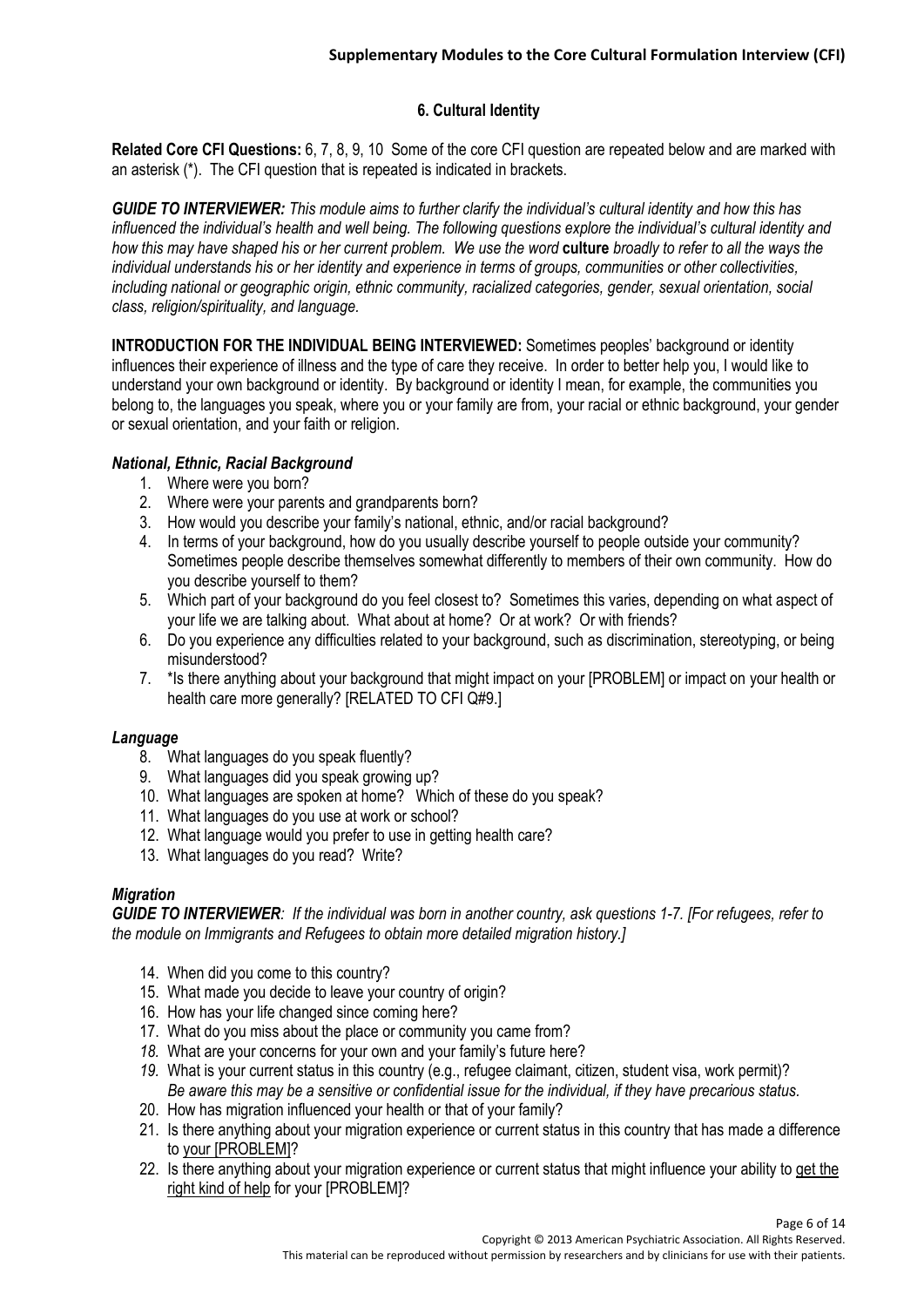# **6. Cultural Identity**

**Related Core CFI Questions:** 6, 7, 8, 9, 10 Some of the core CFI question are repeated below and are marked with an asterisk (\*). The CFI question that is repeated is indicated in brackets.

*GUIDE TO INTERVIEWER: This module aims to further clarify the individual's cultural identity and how this has influenced the individual's health and well being. The following questions explore the individual's cultural identity and how this may have shaped his or her current problem. We use the word* **culture** *broadly to refer to all the ways the individual understands his or her identity and experience in terms of groups, communities or other collectivities, including national or geographic origin, ethnic community, racialized categories, gender, sexual orientation, social class, religion/spirituality, and language.*

**INTRODUCTION FOR THE INDIVIDUAL BEING INTERVIEWED:** Sometimes peoples' background or identity influences their experience of illness and the type of care they receive. In order to better help you, I would like to understand your own background or identity. By background or identity I mean, for example, the communities you belong to, the languages you speak, where you or your family are from, your racial or ethnic background, your gender or sexual orientation, and your faith or religion.

# *National, Ethnic, Racial Background*

- 1. Where were you born?
- 2. Where were your parents and grandparents born?
- 3. How would you describe your family's national, ethnic, and/or racial background?
- 4. In terms of your background, how do you usually describe yourself to people outside your community? Sometimes people describe themselves somewhat differently to members of their own community. How do you describe yourself to them?
- 5. Which part of your background do you feel closest to? Sometimes this varies, depending on what aspect of your life we are talking about. What about at home? Or at work? Or with friends?
- 6. Do you experience any difficulties related to your background, such as discrimination, stereotyping, or being misunderstood?
- 7. \*Is there anything about your background that might impact on your [PROBLEM] or impact on your health or health care more generally? [RELATED TO CFI Q#9.]

## *Language*

- 8. What languages do you speak fluently?
- 9. What languages did you speak growing up?
- 10. What languages are spoken at home? Which of these do you speak?
- 11. What languages do you use at work or school?
- 12. What language would you prefer to use in getting health care?
- 13. What languages do you read? Write?

## *Migration*

*GUIDE TO INTERVIEWER: If the individual was born in another country, ask questions 1-7. [For refugees, refer to the module on Immigrants and Refugees to obtain more detailed migration history.]*

- 14. When did you come to this country?
- 15. What made you decide to leave your country of origin?
- 16. How has your life changed since coming here?
- 17. What do you miss about the place or community you came from?
- *18.* What are your concerns for your own and your family's future here?
- *19.* What is your current status in this country (e.g., refugee claimant, citizen, student visa, work permit)? *Be aware this may be a sensitive or confidential issue for the individual, if they have precarious status.*
- 20. How has migration influenced your health or that of your family?
- 21. Is there anything about your migration experience or current status in this country that has made a difference to your [PROBLEM]?
- 22. Is there anything about your migration experience or current status that might influence your ability to get the right kind of help for your [PROBLEM]?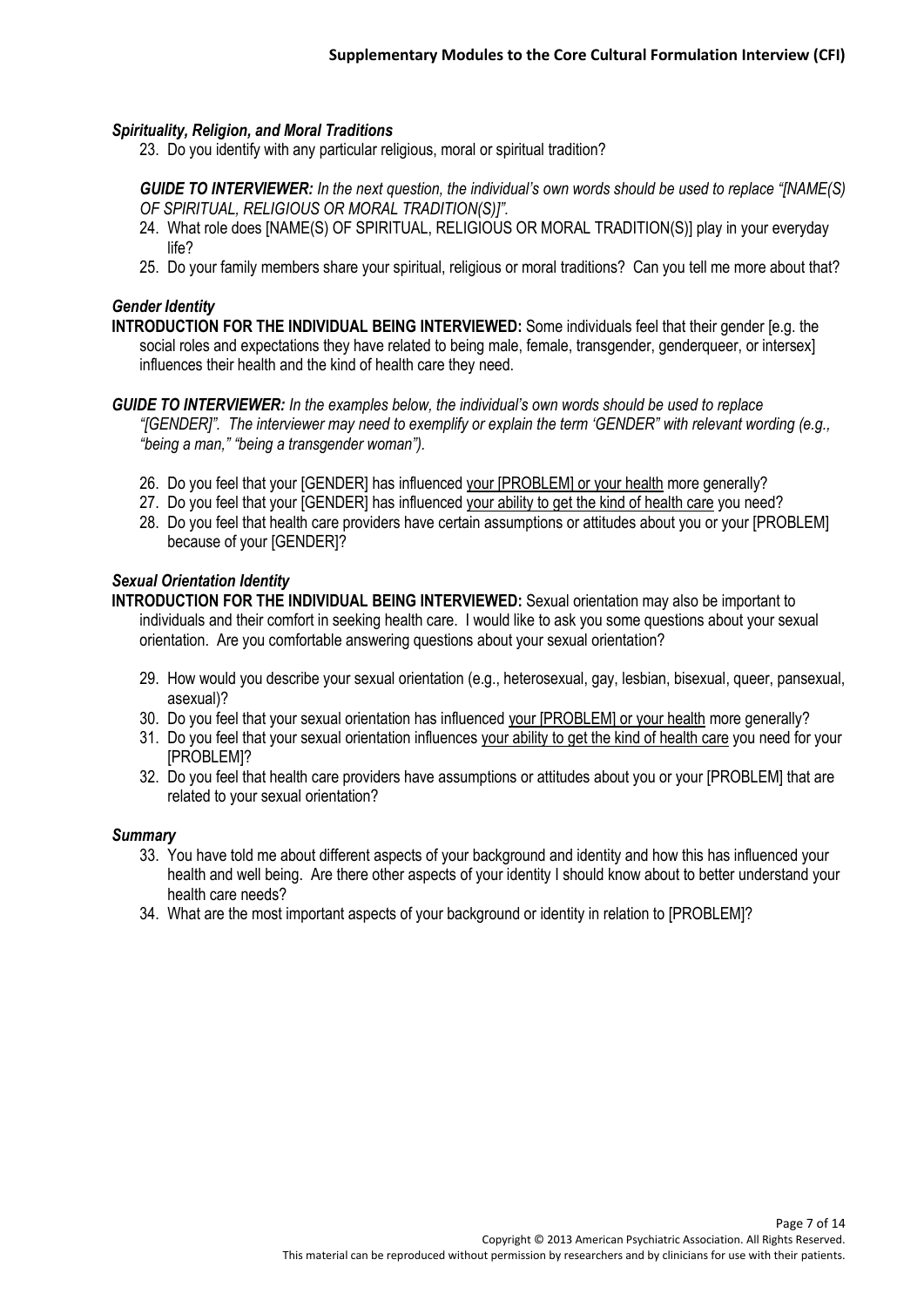## *Spirituality, Religion, and Moral Traditions*

23. Do you identify with any particular religious, moral or spiritual tradition?

*GUIDE TO INTERVIEWER: In the next question, the individual's own words should be used to replace "[NAME(S) OF SPIRITUAL, RELIGIOUS OR MORAL TRADITION(S)]".* 

- 24. What role does [NAME(S) OF SPIRITUAL, RELIGIOUS OR MORAL TRADITION(S)] play in your everyday life?
- 25. Do your family members share your spiritual, religious or moral traditions? Can you tell me more about that?

### *Gender Identity*

**INTRODUCTION FOR THE INDIVIDUAL BEING INTERVIEWED:** Some individuals feel that their gender [e.g. the social roles and expectations they have related to being male, female, transgender, genderqueer, or intersex] influences their health and the kind of health care they need.

*GUIDE TO INTERVIEWER: In the examples below, the individual's own words should be used to replace "[GENDER]". The interviewer may need to exemplify or explain the term 'GENDER" with relevant wording (e.g., "being a man," "being a transgender woman").*

- 26. Do you feel that your [GENDER] has influenced your [PROBLEM] or your health more generally?
- 27. Do you feel that your [GENDER] has influenced your ability to get the kind of health care you need?
- 28. Do you feel that health care providers have certain assumptions or attitudes about you or your [PROBLEM] because of your [GENDER]?

## *Sexual Orientation Identity*

**INTRODUCTION FOR THE INDIVIDUAL BEING INTERVIEWED:** Sexual orientation may also be important to individuals and their comfort in seeking health care. I would like to ask you some questions about your sexual orientation. Are you comfortable answering questions about your sexual orientation?

- 29. How would you describe your sexual orientation (e.g., heterosexual, gay, lesbian, bisexual, queer, pansexual, asexual)?
- 30. Do you feel that your sexual orientation has influenced your [PROBLEM] or your health more generally?
- 31. Do you feel that your sexual orientation influences your ability to get the kind of health care you need for your [PROBLEM]?
- 32. Do you feel that health care providers have assumptions or attitudes about you or your [PROBLEM] that are related to your sexual orientation?

### *Summary*

- 33. You have told me about different aspects of your background and identity and how this has influenced your health and well being. Are there other aspects of your identity I should know about to better understand your health care needs?
- 34. What are the most important aspects of your background or identity in relation to [PROBLEM]?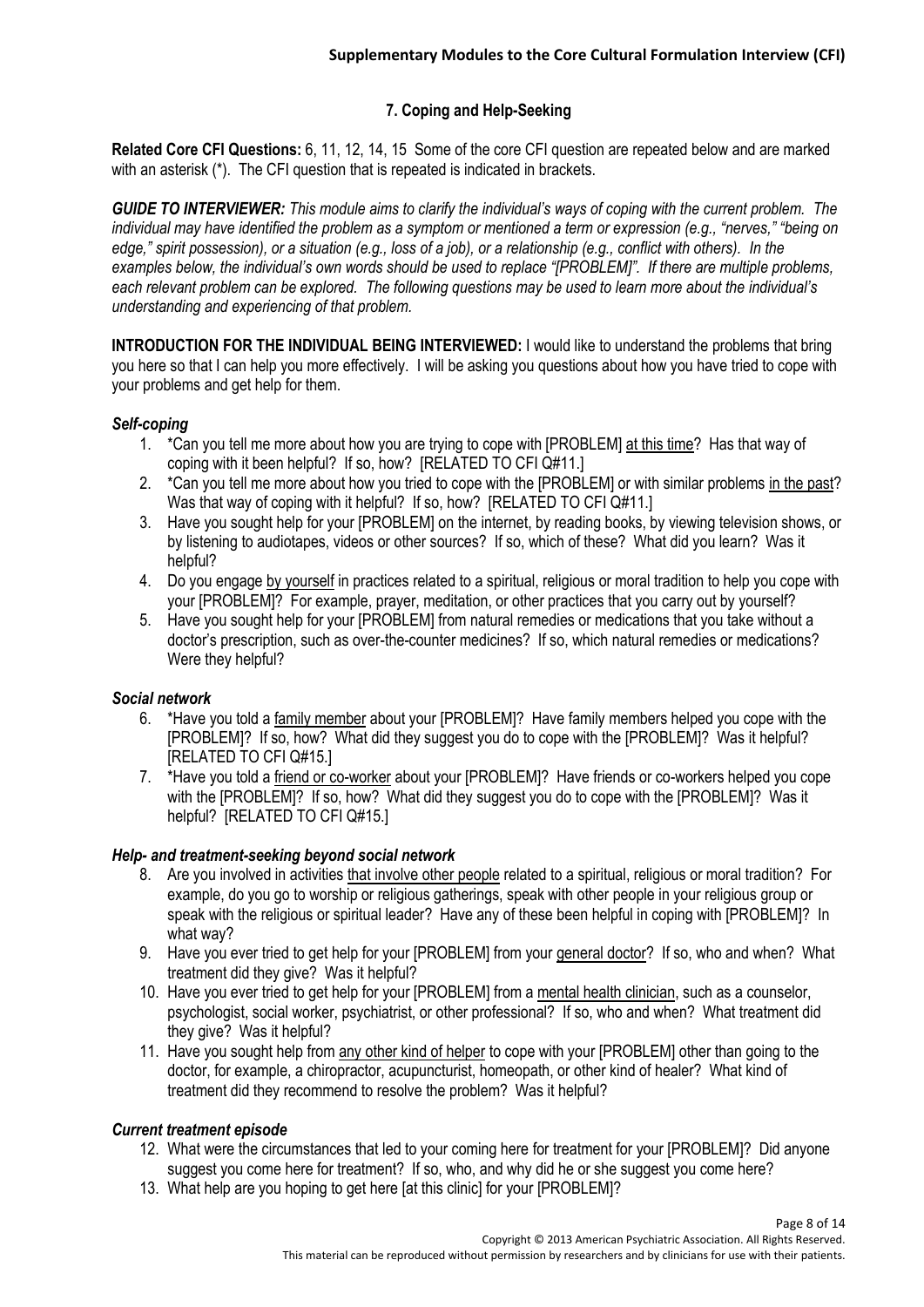# **7. Coping and Help-Seeking**

**Related Core CFI Questions:** 6, 11, 12, 14, 15 Some of the core CFI question are repeated below and are marked with an asterisk (\*). The CFI question that is repeated is indicated in brackets.

*GUIDE TO INTERVIEWER: This module aims to clarify the individual's ways of coping with the current problem. The individual may have identified the problem as a symptom or mentioned a term or expression (e.g., "nerves," "being on edge," spirit possession), or a situation (e.g., loss of a job), or a relationship (e.g., conflict with others). In the examples below, the individual's own words should be used to replace "[PROBLEM]". If there are multiple problems, each relevant problem can be explored. The following questions may be used to learn more about the individual's understanding and experiencing of that problem.*

**INTRODUCTION FOR THE INDIVIDUAL BEING INTERVIEWED:** I would like to understand the problems that bring you here so that I can help you more effectively. I will be asking you questions about how you have tried to cope with your problems and get help for them.

## *Self-coping*

- 1. \*Can you tell me more about how you are trying to cope with [PROBLEM] at this time? Has that way of coping with it been helpful? If so, how? [RELATED TO CFI Q#11.]
- 2. \*Can you tell me more about how you tried to cope with the [PROBLEM] or with similar problems in the past? Was that way of coping with it helpful? If so, how? [RELATED TO CFI Q#11.]
- 3. Have you sought help for your [PROBLEM] on the internet, by reading books, by viewing television shows, or by listening to audiotapes, videos or other sources? If so, which of these? What did you learn? Was it helpful?
- 4. Do you engage by yourself in practices related to a spiritual, religious or moral tradition to help you cope with your [PROBLEM]? For example, prayer, meditation, or other practices that you carry out by yourself?
- 5. Have you sought help for your [PROBLEM] from natural remedies or medications that you take without a doctor's prescription, such as over-the-counter medicines? If so, which natural remedies or medications? Were they helpful?

## *Social network*

- 6. \*Have you told a family member about your [PROBLEM]? Have family members helped you cope with the [PROBLEM]? If so, how? What did they suggest you do to cope with the [PROBLEM]? Was it helpful? [RELATED TO CFI Q#15.]
- 7. \*Have you told a friend or co-worker about your [PROBLEM]? Have friends or co-workers helped you cope with the [PROBLEM]? If so, how? What did they suggest you do to cope with the [PROBLEM]? Was it helpful? [RELATED TO CFI Q#15.]

### *Help- and treatment-seeking beyond social network*

- 8. Are you involved in activities that involve other people related to a spiritual, religious or moral tradition? For example, do you go to worship or religious gatherings, speak with other people in your religious group or speak with the religious or spiritual leader? Have any of these been helpful in coping with [PROBLEM]? In what way?
- 9. Have you ever tried to get help for your [PROBLEM] from your general doctor? If so, who and when? What treatment did they give? Was it helpful?
- 10. Have you ever tried to get help for your [PROBLEM] from a mental health clinician, such as a counselor, psychologist, social worker, psychiatrist, or other professional? If so, who and when? What treatment did they give? Was it helpful?
- 11. Have you sought help from any other kind of helper to cope with your [PROBLEM] other than going to the doctor, for example, a chiropractor, acupuncturist, homeopath, or other kind of healer? What kind of treatment did they recommend to resolve the problem? Was it helpful?

### *Current treatment episode*

- 12. What were the circumstances that led to your coming here for treatment for your [PROBLEM]? Did anyone suggest you come here for treatment? If so, who, and why did he or she suggest you come here?
- 13. What help are you hoping to get here [at this clinic] for your [PROBLEM]?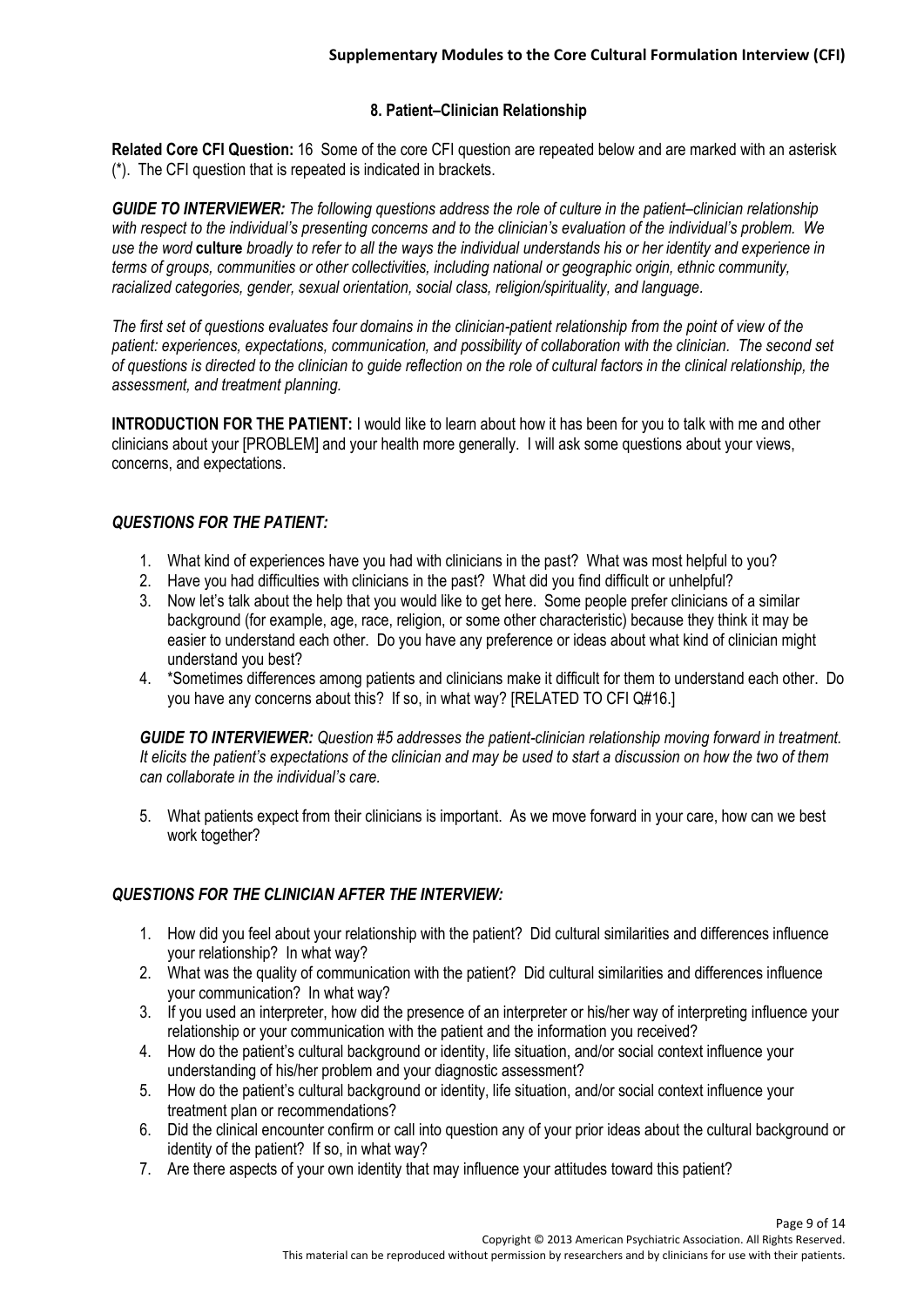# **8. Patient–Clinician Relationship**

**Related Core CFI Question:** 16 Some of the core CFI question are repeated below and are marked with an asterisk (\*). The CFI question that is repeated is indicated in brackets.

*GUIDE TO INTERVIEWER: The following questions address the role of culture in the patient–clinician relationship with respect to the individual's presenting concerns and to the clinician's evaluation of the individual's problem. We use the word* **culture** *broadly to refer to all the ways the individual understands his or her identity and experience in terms of groups, communities or other collectivities, including national or geographic origin, ethnic community, racialized categories, gender, sexual orientation, social class, religion/spirituality, and language.*

*The first set of questions evaluates four domains in the clinician-patient relationship from the point of view of the patient: experiences, expectations, communication, and possibility of collaboration with the clinician. The second set of questions is directed to the clinician to guide reflection on the role of cultural factors in the clinical relationship, the assessment, and treatment planning.* 

**INTRODUCTION FOR THE PATIENT:** I would like to learn about how it has been for you to talk with me and other clinicians about your [PROBLEM] and your health more generally. I will ask some questions about your views, concerns, and expectations.

## *QUESTIONS FOR THE PATIENT:*

- 1. What kind of experiences have you had with clinicians in the past? What was most helpful to you?
- 2. Have you had difficulties with clinicians in the past? What did you find difficult or unhelpful?
- 3. Now let's talk about the help that you would like to get here. Some people prefer clinicians of a similar background (for example, age, race, religion, or some other characteristic) because they think it may be easier to understand each other. Do you have any preference or ideas about what kind of clinician might understand you best?
- 4. \*Sometimes differences among patients and clinicians make it difficult for them to understand each other. Do you have any concerns about this? If so, in what way? [RELATED TO CFI Q#16.]

*GUIDE TO INTERVIEWER: Question #5 addresses the patient-clinician relationship moving forward in treatment. It elicits the patient's expectations of the clinician and may be used to start a discussion on how the two of them can collaborate in the individual's care.*

5. What patients expect from their clinicians is important. As we move forward in your care, how can we best work together?

## *QUESTIONS FOR THE CLINICIAN AFTER THE INTERVIEW:*

- 1. How did you feel about your relationship with the patient? Did cultural similarities and differences influence your relationship? In what way?
- 2. What was the quality of communication with the patient? Did cultural similarities and differences influence your communication? In what way?
- 3. If you used an interpreter, how did the presence of an interpreter or his/her way of interpreting influence your relationship or your communication with the patient and the information you received?
- 4. How do the patient's cultural background or identity, life situation, and/or social context influence your understanding of his/her problem and your diagnostic assessment?
- 5. How do the patient's cultural background or identity, life situation, and/or social context influence your treatment plan or recommendations?
- 6. Did the clinical encounter confirm or call into question any of your prior ideas about the cultural background or identity of the patient? If so, in what way?
- 7. Are there aspects of your own identity that may influence your attitudes toward this patient?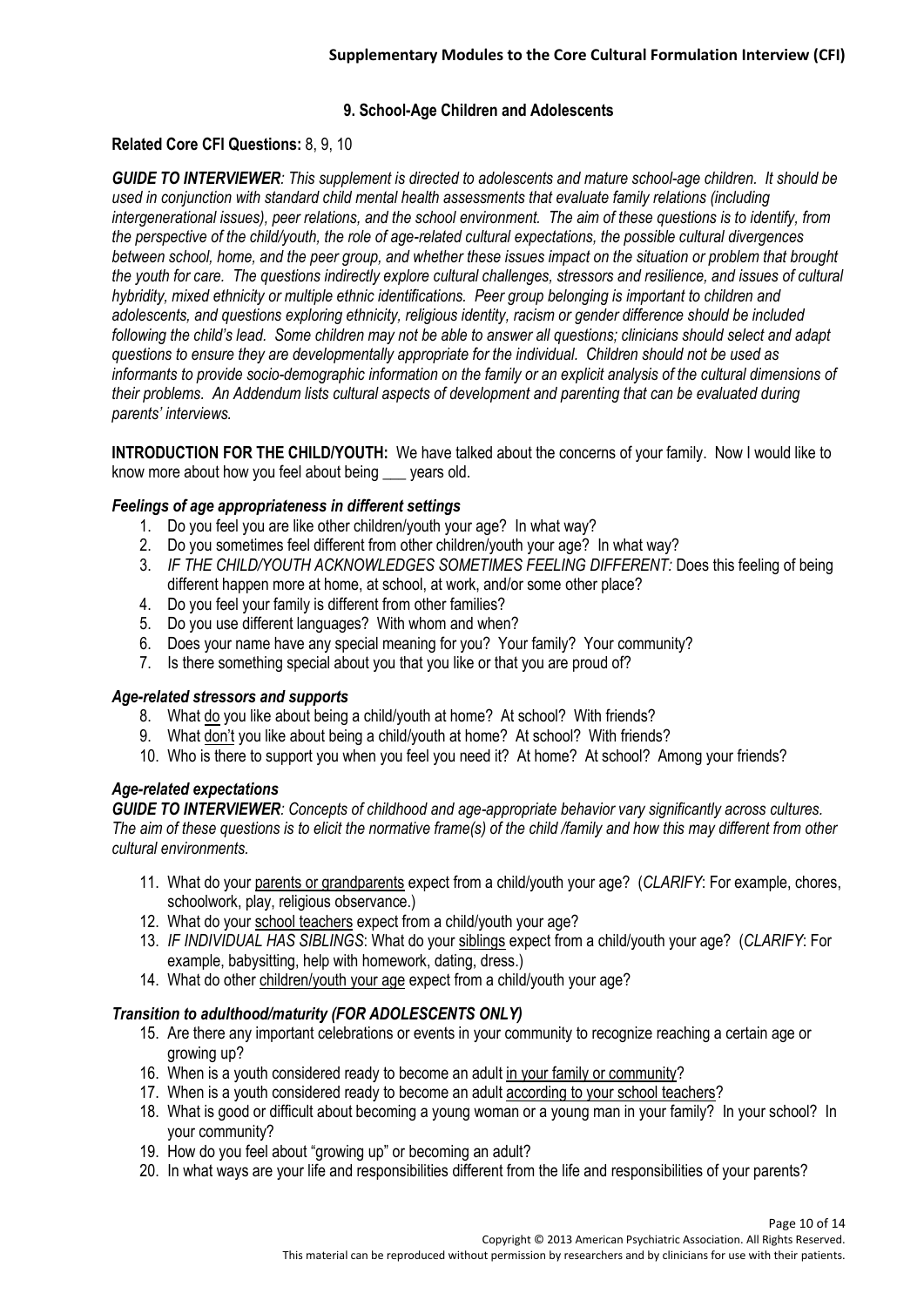# **9. School-Age Children and Adolescents**

## **Related Core CFI Questions:** 8, 9, 10

*GUIDE TO INTERVIEWER: This supplement is directed to adolescents and mature school-age children. It should be used in conjunction with standard child mental health assessments that evaluate family relations (including intergenerational issues), peer relations, and the school environment. The aim of these questions is to identify, from the perspective of the child/youth, the role of age-related cultural expectations, the possible cultural divergences between school, home, and the peer group, and whether these issues impact on the situation or problem that brought the youth for care. The questions indirectly explore cultural challenges, stressors and resilience, and issues of cultural hybridity, mixed ethnicity or multiple ethnic identifications. Peer group belonging is important to children and adolescents, and questions exploring ethnicity, religious identity, racism or gender difference should be included following the child's lead. Some children may not be able to answer all questions; clinicians should select and adapt questions to ensure they are developmentally appropriate for the individual. Children should not be used as informants to provide socio-demographic information on the family or an explicit analysis of the cultural dimensions of their problems. An Addendum lists cultural aspects of development and parenting that can be evaluated during parents' interviews.*

**INTRODUCTION FOR THE CHILD/YOUTH:** We have talked about the concerns of your family. Now I would like to know more about how you feel about being vears old.

## *Feelings of age appropriateness in different settings*

- 1. Do you feel you are like other children/youth your age? In what way?
- 2. Do you sometimes feel different from other children/youth your age? In what way?
- 3. *IF THE CHILD/YOUTH ACKNOWLEDGES SOMETIMES FEELING DIFFERENT:* Does this feeling of being different happen more at home, at school, at work, and/or some other place?
- 4. Do you feel your family is different from other families?
- 5. Do you use different languages? With whom and when?
- 6. Does your name have any special meaning for you? Your family? Your community?
- 7. Is there something special about you that you like or that you are proud of?

### *Age-related stressors and supports*

- 8. What do you like about being a child/youth at home? At school? With friends?
- 9. What don't you like about being a child/youth at home? At school? With friends?
- 10. Who is there to support you when you feel you need it? At home? At school? Among your friends?

## *Age-related expectations*

*GUIDE TO INTERVIEWER: Concepts of childhood and age-appropriate behavior vary significantly across cultures. The aim of these questions is to elicit the normative frame(s) of the child /family and how this may different from other cultural environments.* 

- 11. What do your parents or grandparents expect from a child/youth your age? (*CLARIFY*: For example, chores, schoolwork, play, religious observance.)
- 12. What do your school teachers expect from a child/youth your age?
- 13. *IF INDIVIDUAL HAS SIBLINGS*: What do your siblings expect from a child/youth your age? (*CLARIFY*: For example, babysitting, help with homework, dating, dress.)
- 14. What do other children/youth your age expect from a child/youth your age?

# *Transition to adulthood/maturity (FOR ADOLESCENTS ONLY)*

- 15. Are there any important celebrations or events in your community to recognize reaching a certain age or growing up?
- 16. When is a youth considered ready to become an adult in your family or community?
- 17. When is a youth considered ready to become an adult according to your school teachers?
- 18. What is good or difficult about becoming a young woman or a young man in your family? In your school? In your community?
- 19. How do you feel about "growing up" or becoming an adult?
- 20. In what ways are your life and responsibilities different from the life and responsibilities of your parents?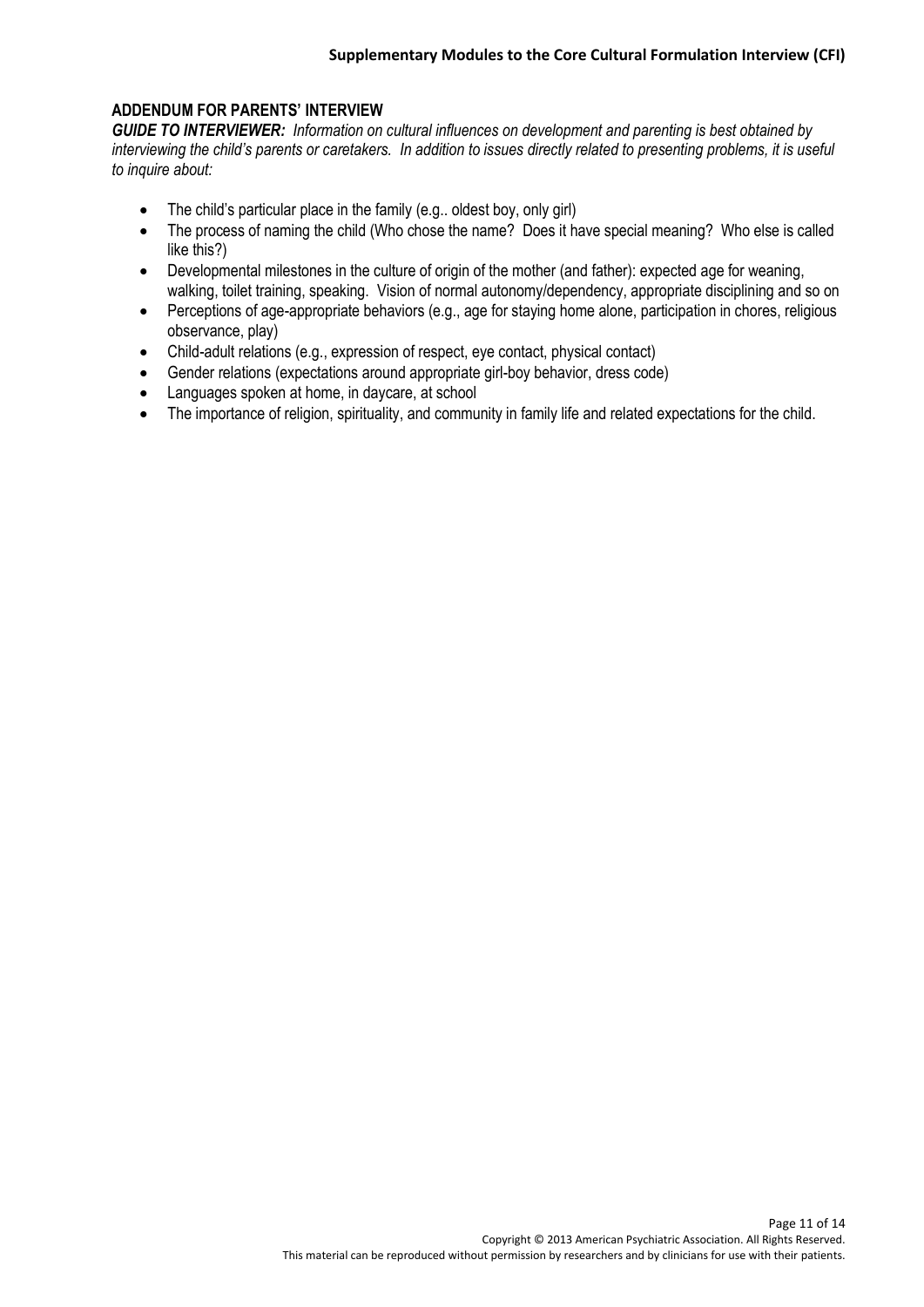# **ADDENDUM FOR PARENTS' INTERVIEW**

*GUIDE TO INTERVIEWER: Information on cultural influences on development and parenting is best obtained by interviewing the child's parents or caretakers. In addition to issues directly related to presenting problems, it is useful to inquire about:*

- The child's particular place in the family (e.g., oldest boy, only girl)
- The process of naming the child (Who chose the name? Does it have special meaning? Who else is called like this?)
- Developmental milestones in the culture of origin of the mother (and father): expected age for weaning, walking, toilet training, speaking. Vision of normal autonomy/dependency, appropriate disciplining and so on
- Perceptions of age-appropriate behaviors (e.g., age for staying home alone, participation in chores, religious observance, play)
- Child-adult relations (e.g., expression of respect, eye contact, physical contact)
- Gender relations (expectations around appropriate girl-boy behavior, dress code)
- Languages spoken at home, in daycare, at school
- The importance of religion, spirituality, and community in family life and related expectations for the child.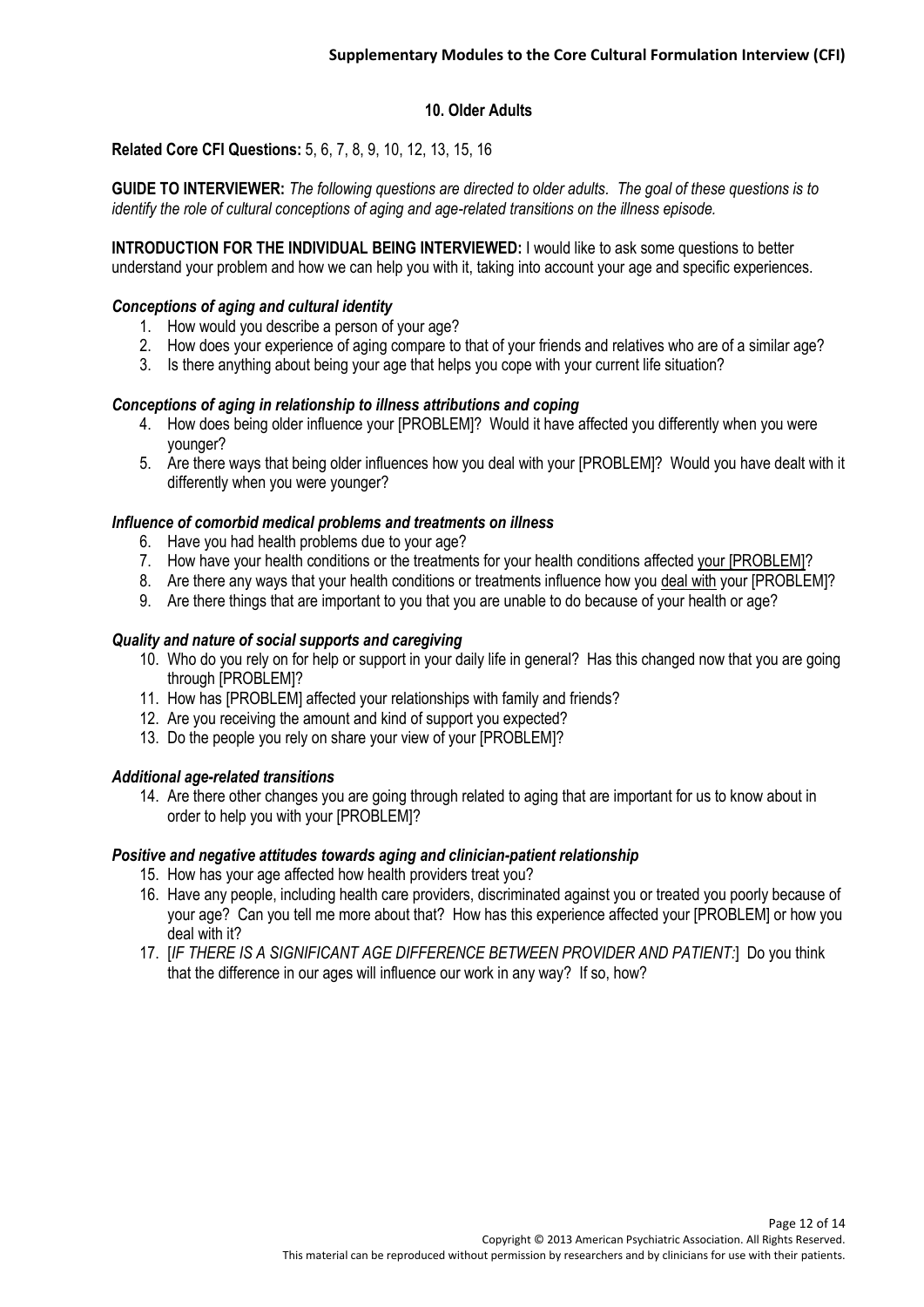# **10. Older Adults**

## **Related Core CFI Questions:** 5, 6, 7, 8, 9, 10, 12, 13, 15, 16

**GUIDE TO INTERVIEWER:** *The following questions are directed to older adults. The goal of these questions is to identify the role of cultural conceptions of aging and age-related transitions on the illness episode.* 

**INTRODUCTION FOR THE INDIVIDUAL BEING INTERVIEWED:** I would like to ask some questions to better understand your problem and how we can help you with it, taking into account your age and specific experiences.

## *Conceptions of aging and cultural identity*

- 1. How would you describe a person of your age?
- 2. How does your experience of aging compare to that of your friends and relatives who are of a similar age?
- 3. Is there anything about being your age that helps you cope with your current life situation?

## *Conceptions of aging in relationship to illness attributions and coping*

- 4. How does being older influence your [PROBLEM]? Would it have affected you differently when you were younger?
- 5. Are there ways that being older influences how you deal with your [PROBLEM]? Would you have dealt with it differently when you were younger?

## *Influence of comorbid medical problems and treatments on illness*

- 6. Have you had health problems due to your age?
- 7. How have your health conditions or the treatments for your health conditions affected your [PROBLEM]?
- 8. Are there any ways that your health conditions or treatments influence how you deal with your [PROBLEM]?
- 9. Are there things that are important to you that you are unable to do because of your health or age?

## *Quality and nature of social supports and caregiving*

- 10. Who do you rely on for help or support in your daily life in general? Has this changed now that you are going through [PROBLEM]?
- 11. How has [PROBLEM] affected your relationships with family and friends?
- 12. Are you receiving the amount and kind of support you expected?
- 13. Do the people you rely on share your view of your [PROBLEM]?

### *Additional age-related transitions*

14. Are there other changes you are going through related to aging that are important for us to know about in order to help you with your [PROBLEM]?

### *Positive and negative attitudes towards aging and clinician-patient relationship*

- 15. How has your age affected how health providers treat you?
- 16. Have any people, including health care providers, discriminated against you or treated you poorly because of your age? Can you tell me more about that? How has this experience affected your [PROBLEM] or how you deal with it?
- 17. [*IF THERE IS A SIGNIFICANT AGE DIFFERENCE BETWEEN PROVIDER AND PATIENT:*] Do you think that the difference in our ages will influence our work in any way? If so, how?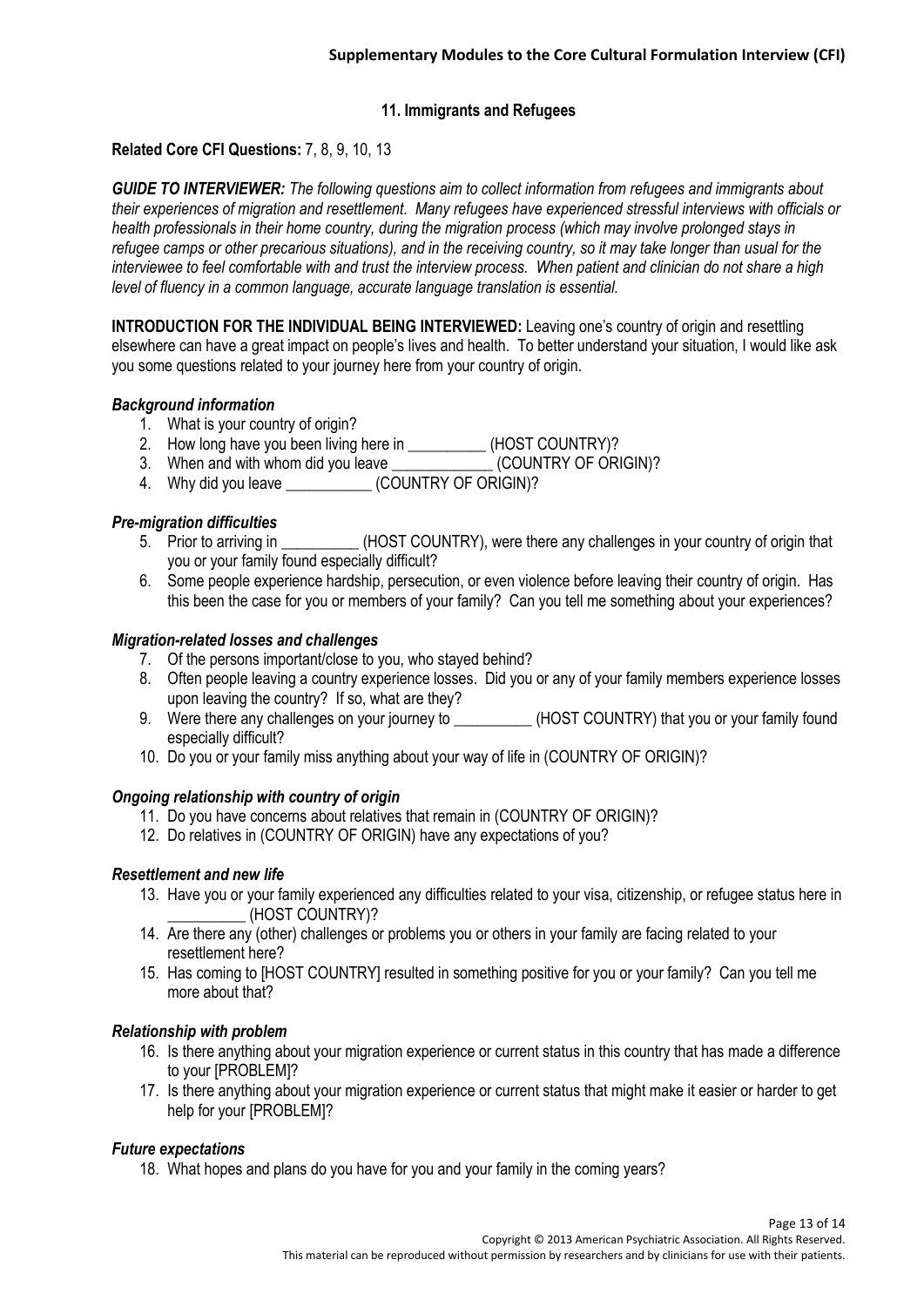## **11. Immigrants and Refugees**

# **Related Core CFI Questions:** 7, 8, 9, 10, 13

*GUIDE TO INTERVIEWER: The following questions aim to collect information from refugees and immigrants about their experiences of migration and resettlement. Many refugees have experienced stressful interviews with officials or health professionals in their home country, during the migration process (which may involve prolonged stays in refugee camps or other precarious situations), and in the receiving country, so it may take longer than usual for the interviewee to feel comfortable with and trust the interview process. When patient and clinician do not share a high level of fluency in a common language, accurate language translation is essential.*

**INTRODUCTION FOR THE INDIVIDUAL BEING INTERVIEWED:** Leaving one's country of origin and resettling elsewhere can have a great impact on people's lives and health. To better understand your situation, I would like ask you some questions related to your journey here from your country of origin.

## *Background information*

- 1. What is your country of origin?
- 2. How long have you been living here in \_\_\_\_\_\_\_\_\_\_\_\_(HOST COUNTRY)?
- 3. When and with whom did you leave \_\_\_\_\_\_\_\_\_\_\_\_\_ (COUNTRY OF ORIGIN)?
- 4. Why did you leave \_\_\_\_\_\_\_\_\_\_\_\_\_ (COUNTRY OF ORIGIN)?

## *Pre-migration difficulties*

- 5. Prior to arriving in \_\_\_\_\_\_\_\_\_\_\_\_(HOST COUNTRY), were there any challenges in your country of origin that you or your family found especially difficult?
- 6. Some people experience hardship, persecution, or even violence before leaving their country of origin. Has this been the case for you or members of your family? Can you tell me something about your experiences?

## *Migration-related losses and challenges*

- 7. Of the persons important/close to you, who stayed behind?
- 8. Often people leaving a country experience losses. Did you or any of your family members experience losses upon leaving the country? If so, what are they?
- 9. Were there any challenges on your journey to \_\_\_\_\_\_\_\_\_\_\_(HOST COUNTRY) that you or your family found especially difficult?
- 10. Do you or your family miss anything about your way of life in (COUNTRY OF ORIGIN)?

## *Ongoing relationship with country of origin*

- 11. Do you have concerns about relatives that remain in (COUNTRY OF ORIGIN)?
- 12. Do relatives in (COUNTRY OF ORIGIN) have any expectations of you?

## *Resettlement and new life*

- 13. Have you or your family experienced any difficulties related to your visa, citizenship, or refugee status here in \_\_\_\_\_\_\_\_\_\_ (HOST COUNTRY)?
- 14. Are there any (other) challenges or problems you or others in your family are facing related to your resettlement here?
- 15. Has coming to [HOST COUNTRY] resulted in something positive for you or your family? Can you tell me more about that?

### *Relationship with problem*

- 16. Is there anything about your migration experience or current status in this country that has made a difference to your [PROBLEM]?
- 17. Is there anything about your migration experience or current status that might make it easier or harder to get help for your [PROBLEM]?

### *Future expectations*

18. What hopes and plans do you have for you and your family in the coming years?